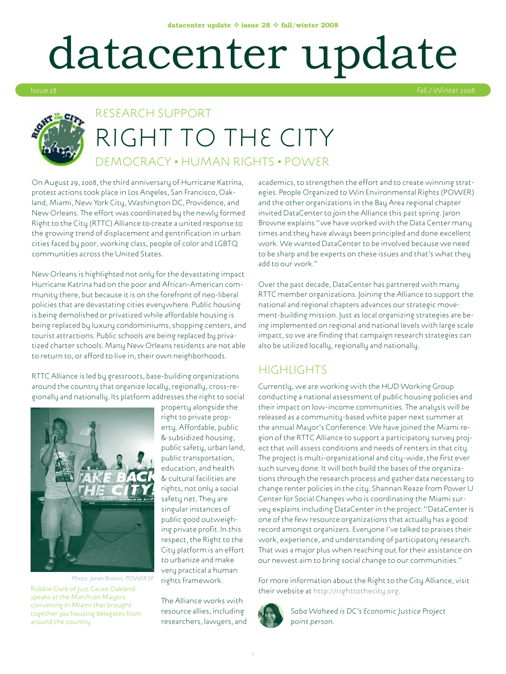# datacenter update



### RESEARCH SUPPORT RIGHT TO THE CITY Democracy • Human Rights • Power

On August 29, 2008, the third anniversary of Hurricane Katrina, protest actions took place in Los Angeles, San Francisco, Oakland, Miami, New York City, Washington DC, Providence, and New Orleans. The effort was coordinated by the newly formed Right to the City (RTTC) Alliance to create a united response to the growing trend of displacement and gentrification in urban cities faced by poor, working class, people of color and LGBTQ communities across the United States.

New Orleans is highlighted not only for the devastating impact Hurricane Katrina had on the poor and African-American community there, but because it is on the forefront of neo-liberal policies that are devastating cities everywhere. Public housing is being demolished or privatized while affordable housing is being replaced by luxury condominiums, shopping centers, and tourist attractions. Public schools are being replaced by privatized charter schools. Many New Orleans residents are not able to return to, or afford to live in, their own neighborhoods.

RTTC Alliance is led by grassroots, base-building organizations around the country that organize locally, regionally, cross-regionally and nationally. Its platform addresses the right to social



*Photo: Jaron Brown, POWER SF*

Robbie Clark of Just Cause Oakland speaks at the March on Mayors convening in Miami that brought together 300 housing delegates from around the country.

property alongside the right to private property. Affordable, public & subsidized housing, public safety, urban land, public transportation, education, and health & cultural facilities are rights, not only a social safety net. They are singular instances of public good outweighing private profit. In this respect, the Right to the City platform is an effort to urbanize and make very practical a human rights framework.

The Alliance works with resource allies, including researchers, lawyers, and academics, to strengthen the effort and to create winning strategies. People Organized to Win Environmental Rights (POWER) and the other organizations in the Bay Area regional chapter invited DataCenter to join the Alliance this past spring. Jaron Browne explains "we have worked with the Data Center many times and they have always been principled and done excellent work. We wanted DataCenter to be involved because we need to be sharp and be experts on these issues and that's what they add to our work."

Over the past decade, DataCenter has partnered with many RTTC member organizations. Joining the Alliance to support the national and regional chapters advances our strategic movement-building mission. Just as local organizing strategies are being implemented on regional and national levels with large scale impact, so we are finding that campaign research strategies can also be utilized locally, regionally and nationally.

#### **HIGHTS**

Currently, we are working with the HUD Working Group conducting a national assessment of public housing policies and their impact on low-income communities. The analysis will be released as a community-based white paper next summer at the annual Mayor's Conference. We have joined the Miami region of the RTTC Alliance to support a participatory survey project that will assess conditions and needs of renters in that city. The project is multi-organizational and city-wide, the first ever such survey done. It will both build the bases of the organizations through the research process and gather data necessary to change renter policies in the city. Shannan Reaze from Power U Center for Social Changes who is coordinating the Miami survey explains including DataCenter in the project: "DataCenter is one of the few resource organizations that actually has a good record amongst organizers. Everyone I've talked to praises their work, experience, and understanding of participatory research. That was a major plus when reaching out for their assistance on our newest aim to bring social change to our communities."

For more information about the Right to the City Alliance, visit their website at http://righttothecity.org.



*Saba Waheed is DC's Economic Justice Project point person.*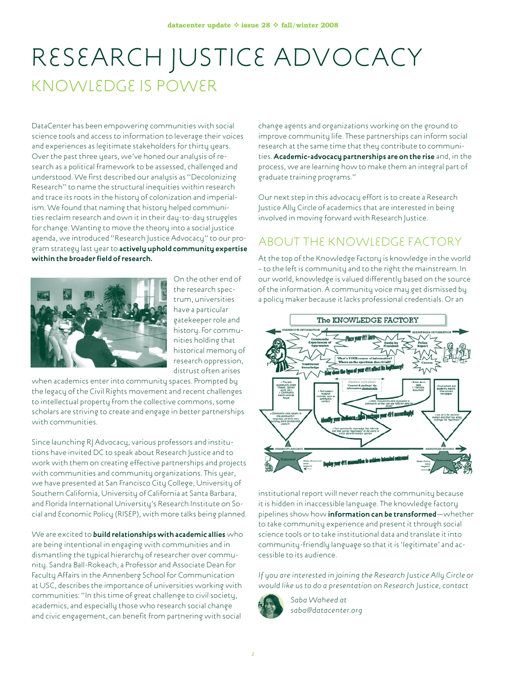## Research Justice Advocacy Knowledge is Power

DataCenter has been empowering communities with social science tools and access to information to leverage their voices and experiences as legitimate stakeholders for thirty years. Over the past three years, we've honed our analysis of research as a political framework to be assessed, challenged and understood. We first described our analysis as "Decolonizing Research" to name the structural inequities within research and trace its roots in the history of colonization and imperialism. We found that naming that history helped communities reclaim research and own it in their day-to-day struggles for change. Wanting to move the theory into a social justice agenda, we introduced "Research Justice Advocacy" to our program strategy last year to **actively uphold community expertise within the broader field of research.**



On the other end of the research spectrum, universities have a particular gatekeeper role and history. For communities holding that historical memory of research oppression, distrust often arises

when academics enter into community spaces. Prompted by the legacy of the Civil Rights movement and recent challenges to intellectual property from the collective commons, some scholars are striving to create and engage in better partnerships with communities.

Since launching RJ Advocacy, various professors and institutions have invited DC to speak about Research Justice and to work with them on creating effective partnerships and projects with communities and community organizations. This year, we have presented at San Francisco City College, University of Southern California, University of California at Santa Barbara, and Florida International University's Research Institute on Social and Economic Policy (RISEP), with more talks being planned.

We are excited to **build relationships with academic allies** who are being intentional in engaging with communities and in dismantling the typical hierarchy of researcher over community. Sandra Ball-Rokeach, a Professor and Associate Dean for Faculty Affairs in the Annenberg School for Communication at USC, describes the importance of universities working with communities: "In this time of great challenge to civil society, academics, and especially those who research social change and civic engagement, can benefit from partnering with social

change agents and organizations working on the ground to improve community life. These partnerships can inform social research at the same time that they contribute to communities. **Academic-advocacy partnerships are on the rise** and, in the process, we are learning how to make them an integral part of graduate training programs."

Our next step in this advocacy effort is to create a Research Justice Ally Circle of academics that are interested in being involved in moving forward with Research Justice.

### About the Knowledge Factory

At the top of the Knowledge Factory is knowledge in the world – to the left is community and to the right the mainstream. In our world, knowledge is valued differently based on the source of the information. A community voice may get dismissed by a policy maker because it lacks professional credentials. Or an



institutional report will never reach the community because it is hidden in inaccessible language. The knowledge factory pipelines show how **information can be transformed**—whether to take community experience and present it through social science tools or to take institutional data and translate it into community-friendly language so that it is 'legitimate' and accessible to its audience.

*If you are interested in joining the Research Justice Ally Circle or would like us to do a presentation on Research Justice, contact*



*Saba Waheed at saba@datacenter.org*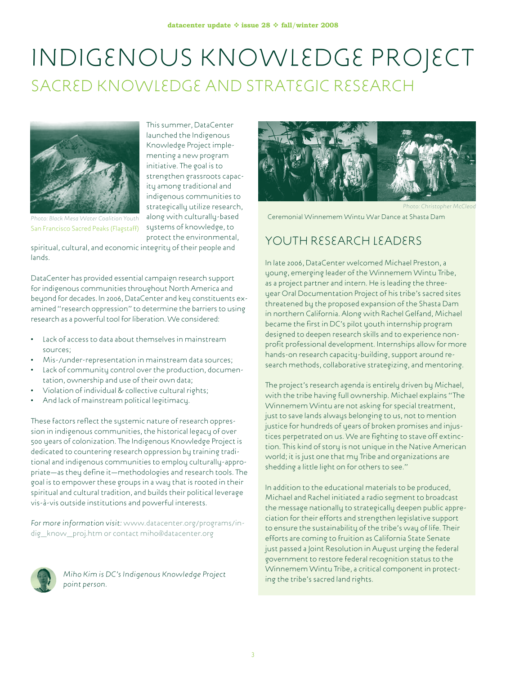## Indigenous Knowledge Project Sacred Knowledge and Strategic Research

This summer, DataCenter launched the Indigenous Knowledge Project implementing a new program initiative. The goal is to strengthen grassroots capacity among traditional and indigenous communities to strategically utilize research, along with culturally-based systems of knowledge, to



*Photo: Black Mesa Water Coalition Youth* San Francisco Sacred Peaks (Flagstaff)

protect the environmental, spiritual, cultural, and economic integrity of their people and lands.

DataCenter has provided essential campaign research support for indigenous communities throughout North America and beyond for decades. In 2006, DataCenter and key constituents examined "research oppression" to determine the barriers to using research as a powerful tool for liberation. We considered:

- Lack of access to data about themselves in mainstream sources;
- Mis-/under-representation in mainstream data sources;
- Lack of community control over the production, documentation, ownership and use of their own data;
- Violation of individual & collective cultural rights;
- And lack of mainstream political legitimacy.

These factors reflect the systemic nature of research oppression in indigenous communities, the historical legacy of over 500 years of colonization. The Indigenous Knowledge Project is dedicated to countering research oppression by training traditional and indigenous communities to employ culturally-appropriate—as they define it—methodologies and research tools. The goal is to empower these groups in a way that is rooted in their spiritual and cultural tradition, and builds their political leverage vis-à-vis outside institutions and powerful interests.

*For more information visit:* www.datacenter.org/programs/indig\_know\_proj.htm or contact miho@datacenter.org



*Miho Kim is DC's Indigenous Knowledge Project point person.*



*Photo: Christopher McCleod* 

Ceremonial Winnemem Wintu War Dance at Shasta Dam

#### YOUTH RESEARCH LEADERS

In late 2006, DataCenter welcomed Michael Preston, a young, emerging leader of the Winnemem Wintu Tribe, as a project partner and intern. He is leading the threeyear Oral Documentation Project of his tribe's sacred sites threatened by the proposed expansion of the Shasta Dam in northern California. Along with Rachel Gelfand, Michael became the first in DC's pilot youth internship program designed to deepen research skills and to experience nonprofit professional development. Internships allow for more hands-on research capacity-building, support around research methods, collaborative strategizing, and mentoring.

The project's research agenda is entirely driven by Michael, with the tribe having full ownership. Michael explains "The Winnemem Wintu are not asking for special treatment, just to save lands always belonging to us, not to mention justice for hundreds of years of broken promises and injustices perpetrated on us. We are fighting to stave off extinction. This kind of story is not unique in the Native American world; it is just one that my Tribe and organizations are shedding a little light on for others to see."

In addition to the educational materials to be produced, Michael and Rachel initiated a radio segment to broadcast the message nationally to strategically deepen public appreciation for their efforts and strengthen legislative support to ensure the sustainability of the tribe's way of life. Their efforts are coming to fruition as California State Senate just passed a Joint Resolution in August urging the federal government to restore federal recognition status to the Winnemem Wintu Tribe, a critical component in protecting the tribe's sacred land rights.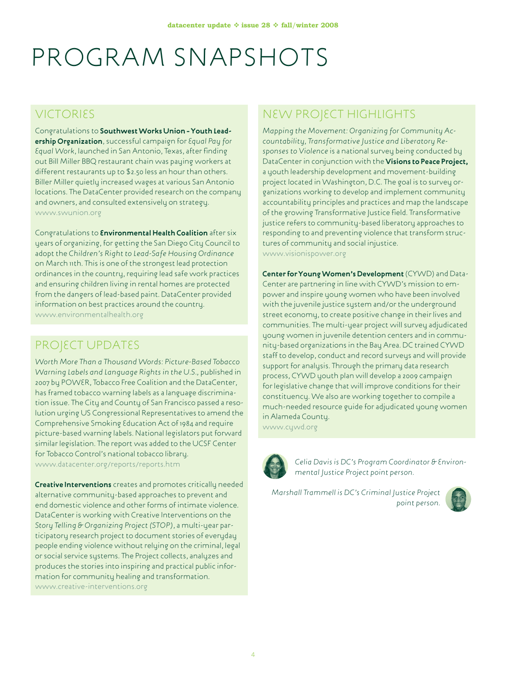# PROGRAM SNAPSHOTS

#### VICTORIES

Congratulations to **Southwest Works Union – Youth Leadership Organization**, successful campaign for *Equal Pay for Equal Work*, launched in San Antonio, Texas, after finding out Bill Miller BBQ restaurant chain was paying workers at different restaurants up to \$2.50 less an hour than others. Biller Miller quietly increased wages at various San Antonio locations. The DataCenter provided research on the company and owners, and consulted extensively on strategy. www.swunion.org

Congratulations to **Environmental Health Coalition** after six years of organizing, for getting the San Diego City Council to adopt the *Children's Right to Lead-Safe Housing Ordinance* on March 11th. This is one of the strongest lead protection ordinances in the country, requiring lead safe work practices and ensuring children living in rental homes are protected from the dangers of lead-based paint. DataCenter provided information on best practices around the country. www.environmentalhealth.org

### PROJECT UPDATES

*Worth More Than a Thousand Words: Picture-Based Tobacco Warning Labels and Language Rights in the U.S.,* published in 2007 by POWER, Tobacco Free Coalition and the DataCenter, has framed tobacco warning labels as a language discrimination issue. The City and County of San Francisco passed a resolution urging US Congressional Representatives to amend the Comprehensive Smoking Education Act of 1984 and require picture-based warning labels. National legislators put forward similar legislation. The report was added to the UCSF Center for Tobacco Control's national tobacco library. www.datacenter.org/reports/reports.htm

**Creative Interventions** creates and promotes critically needed alternative community-based approaches to prevent and end domestic violence and other forms of intimate violence. DataCenter is working with Creative Interventions on the *Story Telling & Organizing Project (STOP)*, a multi-year participatory research project to document stories of everyday people ending violence without relying on the criminal, legal or social service systems. The Project collects, analyzes and produces the stories into inspiring and practical public information for community healing and transformation. www.creative-interventions.org

### NEW PROJECT HIGHLIGHTS

*Mapping the Movement: Organizing for Community Accountability, Transformative Justice and Liberatory Responses to Violence* is a national survey being conducted by DataCenter in conjunction with the **Visions to Peace Project,** a youth leadership development and movement-building project located in Washington, D.C. The goal is to survey organizations working to develop and implement community accountability principles and practices and map the landscape of the growing Transformative Justice field. Transformative justice refers to community-based liberatory approaches to responding to and preventing violence that transform structures of community and social injustice. www.visionispower.org

**Center for Young Women's Development** (CYWD) and Data-Center are partnering in line with CYWD's mission to empower and inspire young women who have been involved with the juvenile justice system and/or the underground street economy, to create positive change in their lives and communities. The multi-year project will survey adjudicated young women in juvenile detention centers and in community-based organizations in the Bay Area. DC trained CYWD staff to develop, conduct and record surveys and will provide support for analysis. Through the primary data research process, CYWD youth plan will develop a 2009 campaign for legislative change that will improve conditions for their constituency. We also are working together to compile a much-needed resource guide for adjudicated young women in Alameda County.

www.cywd.org



*Celia Davis is DC's Program Coordinator & Environmental Justice Project point person.*

*Marshall Trammell is DC's Criminal Justice Project point person.*

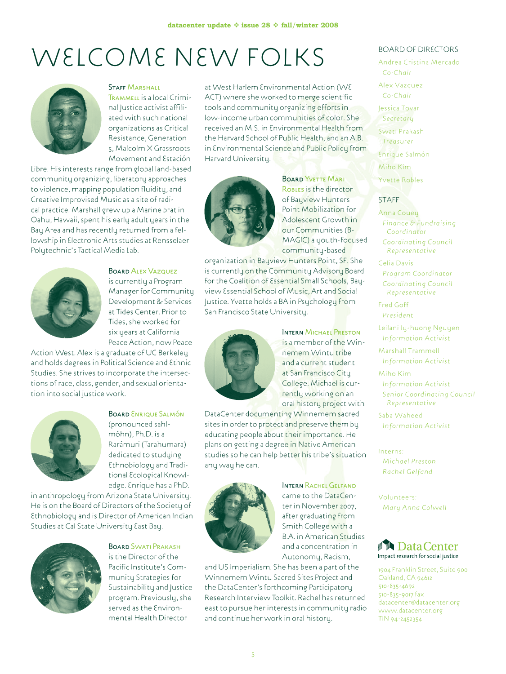# WELCOME NEW FOLKS



#### STAFF MARSHALL Trammell is a local Crimi-

nal Justice activist affiliated with such national organizations as Critical Resistance, Generation 5, Malcolm X Grassroots Movement and Estación

Libre. His interests range from global land-based community organizing, liberatory approaches to violence, mapping population fluidity, and Creative Improvised Music as a site of radical practice. Marshall grew up a Marine brat in Oahu, Hawaii, spent his early adult years in the Bay Area and has recently returned from a fellowship in Electronic Arts studies at Rensselaer Polytechnic's Tactical Media Lab.



#### BOARD ALEX VAZQUEZ is currently a Program Manager for Community Development & Services at Tides Center. Prior to Tides, she worked for six years at California Peace Action, now Peace

Action West. Alex is a graduate of UC Berkeley and holds degrees in Political Science and Ethnic Studies. She strives to incorporate the intersections of race, class, gender, and sexual orientation into social justice work.



BOARD ENRIQUE SALMÓN (pronounced sahlmóhn), Ph.D. is a Rarámuri (Tarahumara) dedicated to studying Ethnobiology and Traditional Ecological Knowledge. Enrique has a PhD.

in anthropology from Arizona State University. He is on the Board of Directors of the Society of Ethnobiology and is Director of American Indian Studies at Cal State University East Bay.



BOARD SWATI PRAKASH is the Director of the Pacific Institute's Community Strategies for Sustainability and Justice program. Previously, she served as the Environmental Health Director

at West Harlem Environmental Action (WE ACT) where she worked to merge scientific tools and community organizing efforts in low-income urban communities of color. She received an M.S. in Environmental Health from the Harvard School of Public Health, and an A.B. in Environmental Science and Public Policy from Harvard University.



BOARD YVETTE MARI Robles is the director of Bayview Hunters Point Mobilization for Adolescent Growth in our Communities (B-MAGIC) a youth-focused community-based

organization in Bayview Hunters Point, SF. She is currently on the Community Advisory Board for the Coalition of Essential Small Schools, Bayview Essential School of Music, Art and Social Justice. Yvette holds a BA in Psychology from San Francisco State University.



**INTERN MICHAEL PRESTON** is a member of the Winnemem Wintu tribe and a current student at San Francisco City College. Michael is currently working on an oral history project with

DataCenter documenting Winnemem sacred sites in order to protect and preserve them by educating people about their importance. He plans on getting a degree in Native American studies so he can help better his tribe's situation any way he can.



INTERN RACHEL GELFAND came to the DataCenter in November 2007, after graduating from Smith College with a B.A. in American Studies and a concentration in Autonomy, Racism,

and US Imperialism. She has been a part of the Winnemem Wintu Sacred Sites Project and the DataCenter's forthcoming Participatory Research Interview Toolkit. Rachel has returned east to pursue her interests in community radio and continue her work in oral history.

#### Board of Directors

Andrea Cristina Mercado *Co-Chair*

Alex Vazquez *Co-Chair*

Jessica Tovar *Secretary*

Swati Prakash

*Treasurer*

Enrique Salmón

Miho Kim

Yvette Robles

#### **STAFF**

Anna Couey *Finance & Fundraising Coordinator Coordinating Council* 

*Representative*

Celia Davis *Program Coordinator Coordinating Council Representative*

Fred Goff *President*

Leilani ly-huong Nguyen *Information Activist*

Marshall Trammell *Information Activist*

Miho Kim *Information Activist Senior Coordinating Council* 

*Representative* Saba Waheed

*Information Activist*

Interns: *Michael Preston Rachel Gelfand*

Volunteers: *Mary Anna Colwell*



1904 Franklin Street, Suite 900 Oakland, CA 94612 510-835-4692 510-835-9017 fax datacenter@datacenter.org www.datacenter.org TIN 94-2452354